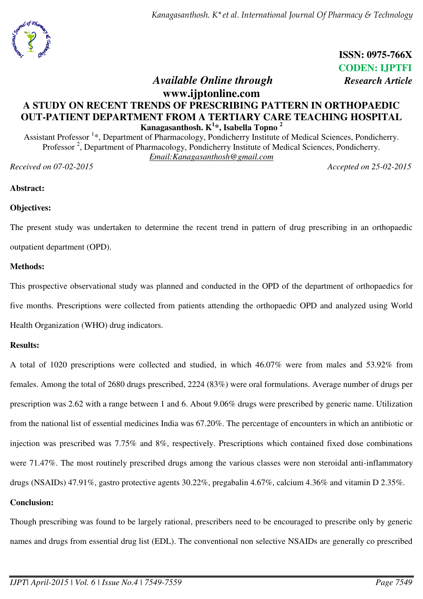*Kanagasanthosh. K\*et al. International Journal Of Pharmacy & Technology* 



# **ISSN: 0975-766X CODEN: IJPTFI**

# *Available Online through Research Article*

# **www.ijptonline.com A STUDY ON RECENT TRENDS OF PRESCRIBING PATTERN IN ORTHOPAEDIC OUT-PATIENT DEPARTMENT FROM A TERTIARY CARE TEACHING HOSPITAL Kanagasanthosh. K<sup>1</sup> \*, Isabella Topno <sup>2</sup>**

Assistant Professor<sup>1</sup>\*, Department of Pharmacology, Pondicherry Institute of Medical Sciences, Pondicherry. Professor<sup>2</sup>, Department of Pharmacology, Pondicherry Institute of Medical Sciences, Pondicherry. *Email:Kanagasanthosh@gmail.com* 

*Received on 07-02-2015 Accepted on 25-02-2015*

**Abstract:** 

#### **Objectives:**

The present study was undertaken to determine the recent trend in pattern of drug prescribing in an orthopaedic outpatient department (OPD).

#### **Methods:**

This prospective observational study was planned and conducted in the OPD of the department of orthopaedics for five months. Prescriptions were collected from patients attending the orthopaedic OPD and analyzed using World Health Organization (WHO) drug indicators.

#### **Results:**

A total of 1020 prescriptions were collected and studied, in which 46.07% were from males and 53.92% from females. Among the total of 2680 drugs prescribed, 2224 (83%) were oral formulations. Average number of drugs per prescription was 2.62 with a range between 1 and 6. About 9.06% drugs were prescribed by generic name. Utilization from the national list of essential medicines India was 67.20%. The percentage of encounters in which an antibiotic or injection was prescribed was 7.75% and 8%, respectively. Prescriptions which contained fixed dose combinations were 71.47%. The most routinely prescribed drugs among the various classes were non steroidal anti-inflammatory drugs (NSAIDs) 47.91%, gastro protective agents 30.22%, pregabalin 4.67%, calcium 4.36% and vitamin D 2.35%.

#### **Conclusion:**

Though prescribing was found to be largely rational, prescribers need to be encouraged to prescribe only by generic names and drugs from essential drug list (EDL). The conventional non selective NSAIDs are generally co prescribed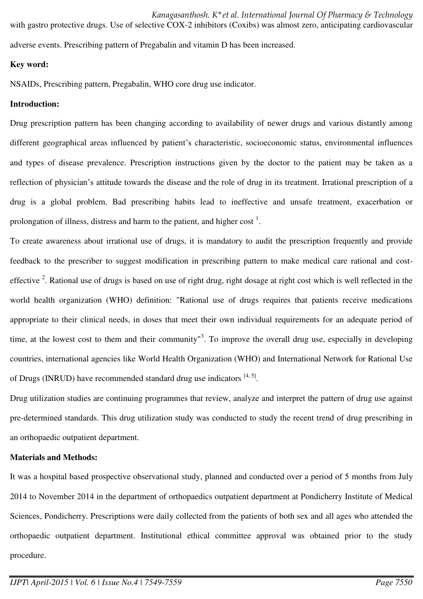adverse events. Prescribing pattern of Pregabalin and vitamin D has been increased.

#### **Key word:**

NSAIDs, Prescribing pattern, Pregabalin, WHO core drug use indicator.

#### **Introduction:**

Drug prescription pattern has been changing according to availability of newer drugs and various distantly among different geographical areas influenced by patient's characteristic, socioeconomic status, environmental influences and types of disease prevalence. Prescription instructions given by the doctor to the patient may be taken as a reflection of physician's attitude towards the disease and the role of drug in its treatment. Irrational prescription of a drug is a global problem. Bad prescribing habits lead to ineffective and unsafe treatment, exacerbation or prolongation of illness, distress and harm to the patient, and higher cost<sup>1</sup>.

with gastro protective drugs. Use of selective COX-2 inhibitors (Coxibs) was almost zero, anticipating cardiovascular

To create awareness about irrational use of drugs, it is mandatory to audit the prescription frequently and provide feedback to the prescriber to suggest modification in prescribing pattern to make medical care rational and costeffective  $2$ . Rational use of drugs is based on use of right drug, right dosage at right cost which is well reflected in the world health organization (WHO) definition: "Rational use of drugs requires that patients receive medications appropriate to their clinical needs, in doses that meet their own individual requirements for an adequate period of time, at the lowest cost to them and their community<sup>3</sup>. To improve the overall drug use, especially in developing countries, international agencies like World Health Organization (WHO) and International Network for Rational Use of Drugs (INRUD) have recommended standard drug use indicators  $[4, 5]$ .

Drug utilization studies are continuing programmes that review, analyze and interpret the pattern of drug use against pre-determined standards. This drug utilization study was conducted to study the recent trend of drug prescribing in an orthopaedic outpatient department.

#### **Materials and Methods:**

It was a hospital based prospective observational study, planned and conducted over a period of 5 months from July 2014 to November 2014 in the department of orthopaedics outpatient department at Pondicherry Institute of Medical Sciences, Pondicherry. Prescriptions were daily collected from the patients of both sex and all ages who attended the orthopaedic outpatient department. Institutional ethical committee approval was obtained prior to the study procedure.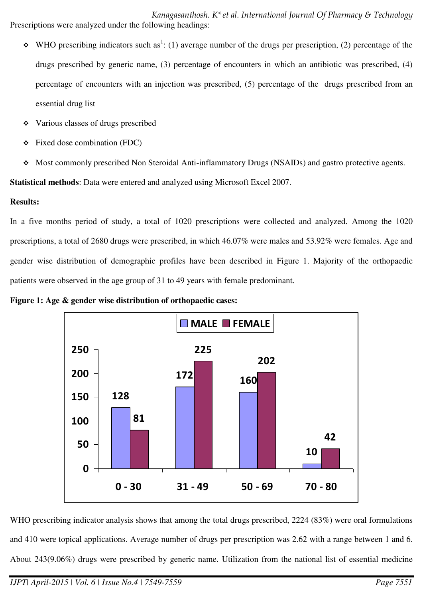*Kanagasanthosh. K\*et al. International Journal Of Pharmacy & Technology*  Prescriptions were analyzed under the following headings:

- $\bullet$  WHO prescribing indicators such as<sup>1</sup>: (1) average number of the drugs per prescription, (2) percentage of the drugs prescribed by generic name, (3) percentage of encounters in which an antibiotic was prescribed, (4) percentage of encounters with an injection was prescribed, (5) percentage of the drugs prescribed from an essential drug list
- Various classes of drugs prescribed
- $\div$  Fixed dose combination (FDC)
- Most commonly prescribed Non Steroidal Anti-inflammatory Drugs (NSAIDs) and gastro protective agents.

**Statistical methods**: Data were entered and analyzed using Microsoft Excel 2007.

#### **Results:**

In a five months period of study, a total of 1020 prescriptions were collected and analyzed. Among the 1020 prescriptions, a total of 2680 drugs were prescribed, in which 46.07% were males and 53.92% were females. Age and gender wise distribution of demographic profiles have been described in Figure 1. Majority of the orthopaedic patients were observed in the age group of 31 to 49 years with female predominant.

**Figure 1: Age & gender wise distribution of orthopaedic cases:** 



WHO prescribing indicator analysis shows that among the total drugs prescribed, 2224 (83%) were oral formulations and 410 were topical applications. Average number of drugs per prescription was 2.62 with a range between 1 and 6. About 243(9.06%) drugs were prescribed by generic name. Utilization from the national list of essential medicine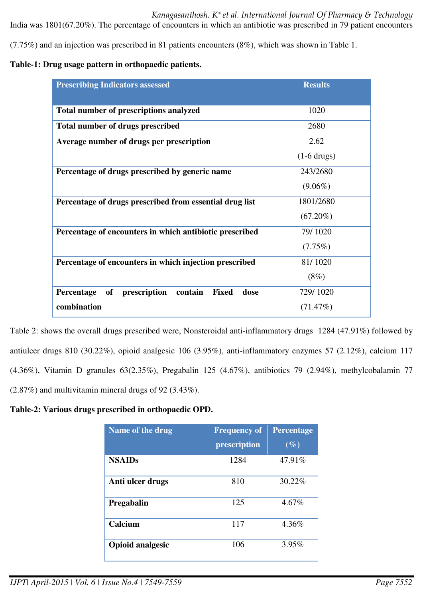(7.75%) and an injection was prescribed in 81 patients encounters (8%), which was shown in Table 1.

#### **Table-1: Drug usage pattern in orthopaedic patients.**

| <b>Prescribing Indicators assessed</b>                                     | <b>Results</b> |
|----------------------------------------------------------------------------|----------------|
|                                                                            |                |
| Total number of prescriptions analyzed                                     | 1020           |
| <b>Total number of drugs prescribed</b>                                    | 2680           |
| Average number of drugs per prescription                                   | 2.62           |
|                                                                            | $(1-6$ drugs)  |
| Percentage of drugs prescribed by generic name                             | 243/2680       |
|                                                                            | $(9.06\%)$     |
| Percentage of drugs prescribed from essential drug list                    | 1801/2680      |
|                                                                            | $(67.20\%)$    |
| Percentage of encounters in which antibiotic prescribed                    | 79/1020        |
|                                                                            | (7.75%)        |
| Percentage of encounters in which injection prescribed                     | 81/1020        |
|                                                                            | $(8\%)$        |
| <b>of</b><br>prescription<br>contain<br><b>Fixed</b><br>Percentage<br>dose | 729/1020       |
| combination                                                                | (71.47%)       |

Table 2: shows the overall drugs prescribed were, Nonsteroidal anti-inflammatory drugs 1284 (47.91%) followed by antiulcer drugs 810 (30.22%), opioid analgesic 106 (3.95%), anti-inflammatory enzymes 57 (2.12%), calcium 117 (4.36%), Vitamin D granules 63(2.35%), Pregabalin 125 (4.67%), antibiotics 79 (2.94%), methylcobalamin 77 (2.87%) and multivitamin mineral drugs of 92 (3.43%).

#### **Table-2: Various drugs prescribed in orthopaedic OPD.**

| <b>Name of the drug</b> | <b>Frequency of</b><br>prescription | <b>Percentage</b><br>$(\%)$ |
|-------------------------|-------------------------------------|-----------------------------|
| <b>NSAIDs</b>           | 1284                                | 47.91%                      |
| Anti ulcer drugs        | 810                                 | 30.22%                      |
| Pregabalin              | 125                                 | 4.67%                       |
| Calcium                 | 117                                 | 4.36%                       |
| <b>Opioid analgesic</b> | 106                                 | 3.95%                       |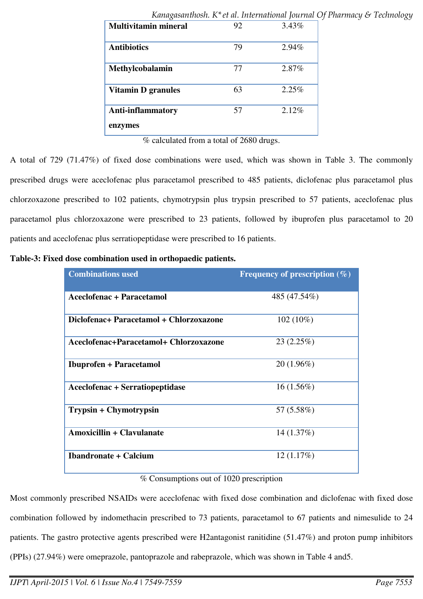|                             |    | ruma judan nosma re-de ali medi manomal journale e |
|-----------------------------|----|----------------------------------------------------|
| <b>Multivitamin mineral</b> | 92 | 3.43%                                              |
| <b>Antibiotics</b>          | 79 | 2.94%                                              |
| Methylcobalamin             | 77 | 2.87%                                              |
| <b>Vitamin D granules</b>   | 63 | 2.25%                                              |
| <b>Anti-inflammatory</b>    | 57 | 2.12%                                              |
| enzymes                     |    |                                                    |

*Kanagasanthosh. K\*et al. International Journal Of Pharmacy & Technology* 

% calculated from a total of 2680 drugs.

A total of 729 (71.47%) of fixed dose combinations were used, which was shown in Table 3. The commonly prescribed drugs were aceclofenac plus paracetamol prescribed to 485 patients, diclofenac plus paracetamol plus chlorzoxazone prescribed to 102 patients, chymotrypsin plus trypsin prescribed to 57 patients, aceclofenac plus paracetamol plus chlorzoxazone were prescribed to 23 patients, followed by ibuprofen plus paracetamol to 20 patients and aceclofenac plus serratiopeptidase were prescribed to 16 patients.

**Table-3: Fixed dose combination used in orthopaedic patients.** 

| <b>Combinations used</b>                | Frequency of prescription $(\%)$ |
|-----------------------------------------|----------------------------------|
| Aceclofenac + Paracetamol               | 485 (47.54%)                     |
|                                         |                                  |
| Diclofenac+ Paracetamol + Chlorzoxazone | $102(10\%)$                      |
| Aceclofenac+Paracetamol+ Chlorzoxazone  | 23(2.25%)                        |
| <b>Ibuprofen</b> + Paracetamol          | 20(1.96%)                        |
| <b>Aceclofenac + Serratiopeptidase</b>  | $16(1.56\%)$                     |
| Trypsin + Chymotrypsin                  | 57 (5.58%)                       |
| <b>Amoxicillin + Clavulanate</b>        | 14(1.37%)                        |
| <b>Ibandronate + Calcium</b>            | 12(1.17%)                        |

#### % Consumptions out of 1020 prescription

Most commonly prescribed NSAIDs were aceclofenac with fixed dose combination and diclofenac with fixed dose combination followed by indomethacin prescribed to 73 patients, paracetamol to 67 patients and nimesulide to 24 patients. The gastro protective agents prescribed were H2antagonist ranitidine (51.47%) and proton pump inhibitors (PPIs) (27.94%) were omeprazole, pantoprazole and rabeprazole, which was shown in Table 4 and5.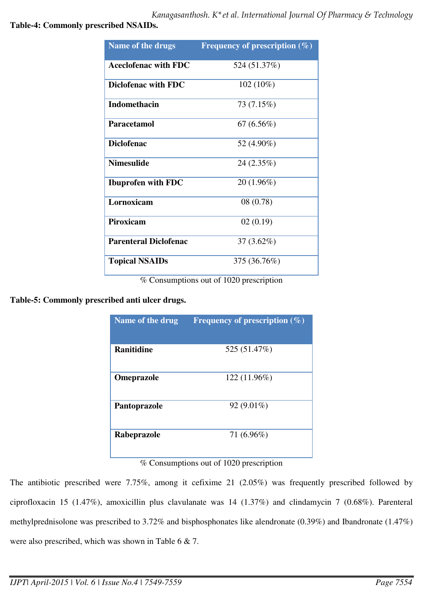**Table-4: Commonly prescribed NSAIDs.** 

| <b>Name of the drugs</b>     | Frequency of prescription $(\%)$ |
|------------------------------|----------------------------------|
| <b>Aceclofenac with FDC</b>  | 524 (51.37%)                     |
| Diclofenac with FDC          | $102(10\%)$                      |
| <b>Indomethacin</b>          | 73 (7.15%)                       |
| Paracetamol                  | 67(6.56%)                        |
| <b>Diclofenac</b>            | 52 (4.90%)                       |
| <b>Nimesulide</b>            | 24 (2.35%)                       |
| <b>Ibuprofen with FDC</b>    | $20(1.96\%)$                     |
| Lornoxicam                   | 08 (0.78)                        |
| <b>Piroxicam</b>             | 02(0.19)                         |
| <b>Parenteral Diclofenac</b> | $37(3.62\%)$                     |
| <b>Topical NSAIDs</b>        | 375 (36.76%)                     |

% Consumptions out of 1020 prescription

**Table-5: Commonly prescribed anti ulcer drugs.** 

| Name of the drug   | <b>Frequency of prescription (%)</b> |
|--------------------|--------------------------------------|
|                    |                                      |
| <b>Ranitidine</b>  | 525 (51.47%)                         |
| <b>Omeprazole</b>  | 122 (11.96%)                         |
| Pantoprazole       | $92(9.01\%)$                         |
| <b>Rabeprazole</b> | 71 (6.96%)                           |

% Consumptions out of 1020 prescription

The antibiotic prescribed were 7.75%, among it cefixime 21 (2.05%) was frequently prescribed followed by ciprofloxacin 15 (1.47%), amoxicillin plus clavulanate was 14 (1.37%) and clindamycin 7 (0.68%). Parenteral methylprednisolone was prescribed to 3.72% and bisphosphonates like alendronate (0.39%) and Ibandronate (1.47%) were also prescribed, which was shown in Table 6 & 7.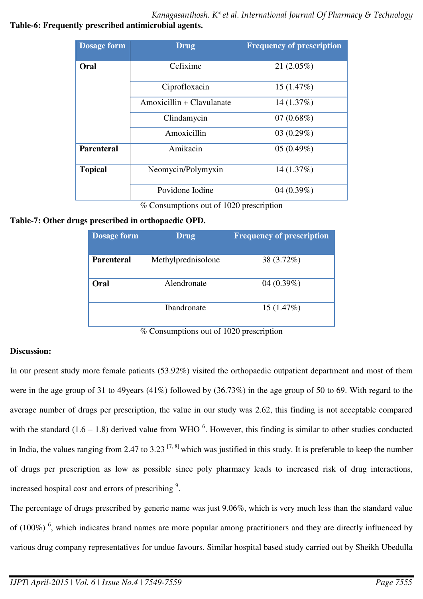*Kanagasanthosh. K\*et al. International Journal Of Pharmacy & Technology* 

## **Table-6: Frequently prescribed antimicrobial agents.**

| <b>Dosage form</b> | <b>Drug</b>               | <b>Frequency of prescription</b> |
|--------------------|---------------------------|----------------------------------|
| Oral               | Cefixime                  | 21(2.05%)                        |
|                    | Ciprofloxacin             | 15(1.47%)                        |
|                    | Amoxicillin + Clavulanate | 14(1.37%)                        |
|                    | Clindamycin               | 07 $(0.68\%)$                    |
|                    | Amoxicillin               | 03(0.29%)                        |
| <b>Parenteral</b>  | Amikacin                  | 05(0.49%)                        |
| <b>Topical</b>     | Neomycin/Polymyxin        | 14 (1.37%)                       |
|                    | Povidone Iodine           | 04 $(0.39\%)$                    |

% Consumptions out of 1020 prescription

# **Table-7: Other drugs prescribed in orthopaedic OPD.**

| <b>Dosage form</b> | <b>Drug</b>        | <b>Frequency of prescription</b> |
|--------------------|--------------------|----------------------------------|
| <b>Parenteral</b>  | Methylprednisolone | 38 (3.72%)                       |
| Oral               | Alendronate        | 04 $(0.39\%)$                    |
|                    | <b>Ibandronate</b> | 15(1.47%)                        |

% Consumptions out of 1020 prescription

# **Discussion:**

In our present study more female patients (53.92%) visited the orthopaedic outpatient department and most of them were in the age group of 31 to 49years (41%) followed by (36.73%) in the age group of 50 to 69. With regard to the average number of drugs per prescription, the value in our study was 2.62, this finding is not acceptable compared with the standard  $(1.6 - 1.8)$  derived value from WHO<sup>6</sup>. However, this finding is similar to other studies conducted in India, the values ranging from 2.47 to 3.23  $[7, 8]$  which was justified in this study. It is preferable to keep the number of drugs per prescription as low as possible since poly pharmacy leads to increased risk of drug interactions, increased hospital cost and errors of prescribing<sup>9</sup>.

The percentage of drugs prescribed by generic name was just 9.06%, which is very much less than the standard value of (100%)<sup>6</sup>, which indicates brand names are more popular among practitioners and they are directly influenced by various drug company representatives for undue favours. Similar hospital based study carried out by Sheikh Ubedulla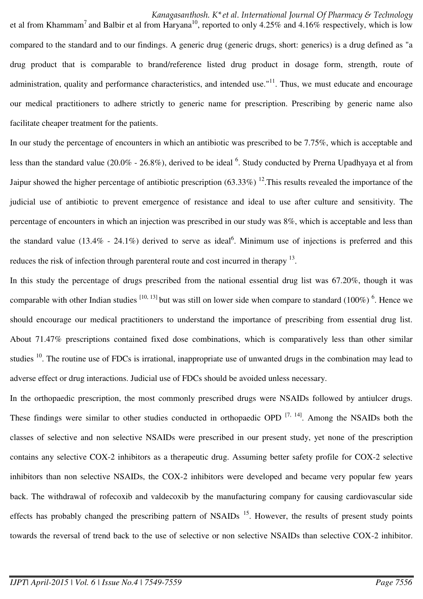et al from Khammam<sup>7</sup> and Balbir et al from Haryana<sup>10</sup>, reported to only 4.25% and 4.16% respectively, which is low compared to the standard and to our findings. A generic drug (generic drugs, short: generics) is a drug defined as "a drug product that is comparable to brand/reference listed drug product in dosage form, strength, route of administration, quality and performance characteristics, and intended use." $11$ . Thus, we must educate and encourage our medical practitioners to adhere strictly to generic name for prescription. Prescribing by generic name also facilitate cheaper treatment for the patients.

In our study the percentage of encounters in which an antibiotic was prescribed to be 7.75%, which is acceptable and less than the standard value (20.0% - 26.8%), derived to be ideal  $^6$ . Study conducted by Prerna Upadhyaya et al from Jaipur showed the higher percentage of antibiotic prescription  $(63.33\%)$  <sup>12</sup>. This results revealed the importance of the judicial use of antibiotic to prevent emergence of resistance and ideal to use after culture and sensitivity. The percentage of encounters in which an injection was prescribed in our study was 8%, which is acceptable and less than the standard value (13.4% - 24.1%) derived to serve as ideal<sup>6</sup>. Minimum use of injections is preferred and this reduces the risk of infection through parenteral route and cost incurred in therapy <sup>13</sup>.

In this study the percentage of drugs prescribed from the national essential drug list was 67.20%, though it was comparable with other Indian studies  $[10, 13]$  but was still on lower side when compare to standard  $(100\%)$ <sup>6</sup>. Hence we should encourage our medical practitioners to understand the importance of prescribing from essential drug list. About 71.47% prescriptions contained fixed dose combinations, which is comparatively less than other similar studies <sup>10</sup>. The routine use of FDCs is irrational, inappropriate use of unwanted drugs in the combination may lead to adverse effect or drug interactions. Judicial use of FDCs should be avoided unless necessary.

In the orthopaedic prescription, the most commonly prescribed drugs were NSAIDs followed by antiulcer drugs. These findings were similar to other studies conducted in orthopaedic OPD  $^{[7, 14]}$ . Among the NSAIDs both the classes of selective and non selective NSAIDs were prescribed in our present study, yet none of the prescription contains any selective COX-2 inhibitors as a therapeutic drug. Assuming better safety profile for COX-2 selective inhibitors than non selective NSAIDs, the COX-2 inhibitors were developed and became very popular few years back. The withdrawal of rofecoxib and valdecoxib by the manufacturing company for causing cardiovascular side effects has probably changed the prescribing pattern of NSAIDs<sup>15</sup>. However, the results of present study points towards the reversal of trend back to the use of selective or non selective NSAIDs than selective COX-2 inhibitor.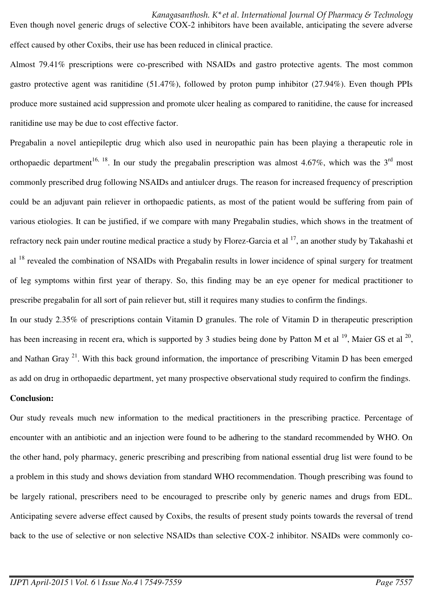Even though novel generic drugs of selective COX-2 inhibitors have been available, anticipating the severe adverse effect caused by other Coxibs, their use has been reduced in clinical practice.

Almost 79.41% prescriptions were co-prescribed with NSAIDs and gastro protective agents. The most common gastro protective agent was ranitidine (51.47%), followed by proton pump inhibitor (27.94%). Even though PPIs produce more sustained acid suppression and promote ulcer healing as compared to ranitidine, the cause for increased ranitidine use may be due to cost effective factor.

Pregabalin a novel antiepileptic drug which also used in neuropathic pain has been playing a therapeutic role in orthopaedic department<sup>16, 18</sup>. In our study the pregabalin prescription was almost 4.67%, which was the 3<sup>rd</sup> most commonly prescribed drug following NSAIDs and antiulcer drugs. The reason for increased frequency of prescription could be an adjuvant pain reliever in orthopaedic patients, as most of the patient would be suffering from pain of various etiologies. It can be justified, if we compare with many Pregabalin studies, which shows in the treatment of refractory neck pain under routine medical practice a study by Florez-Garcia et al  $^{17}$ , an another study by Takahashi et al <sup>18</sup> revealed the combination of NSAIDs with Pregabalin results in lower incidence of spinal surgery for treatment of leg symptoms within first year of therapy. So, this finding may be an eye opener for medical practitioner to prescribe pregabalin for all sort of pain reliever but, still it requires many studies to confirm the findings.

In our study 2.35% of prescriptions contain Vitamin D granules. The role of Vitamin D in therapeutic prescription has been increasing in recent era, which is supported by 3 studies being done by Patton M et al  $^{19}$ , Maier GS et al  $^{20}$ , and Nathan Gray <sup>21</sup>. With this back ground information, the importance of prescribing Vitamin D has been emerged as add on drug in orthopaedic department, yet many prospective observational study required to confirm the findings.

#### **Conclusion:**

Our study reveals much new information to the medical practitioners in the prescribing practice. Percentage of encounter with an antibiotic and an injection were found to be adhering to the standard recommended by WHO. On the other hand, poly pharmacy, generic prescribing and prescribing from national essential drug list were found to be a problem in this study and shows deviation from standard WHO recommendation. Though prescribing was found to be largely rational, prescribers need to be encouraged to prescribe only by generic names and drugs from EDL. Anticipating severe adverse effect caused by Coxibs, the results of present study points towards the reversal of trend back to the use of selective or non selective NSAIDs than selective COX-2 inhibitor. NSAIDs were commonly co-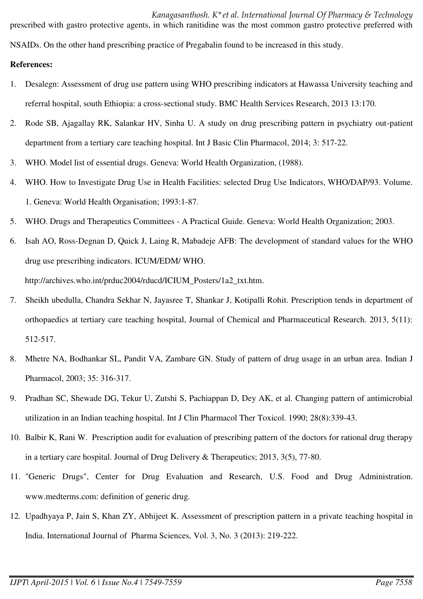*Kanagasanthosh. K\*et al. International Journal Of Pharmacy & Technology*  prescribed with gastro protective agents, in which ranitidine was the most common gastro protective preferred with

NSAIDs. On the other hand prescribing practice of Pregabalin found to be increased in this study.

### **References:**

- 1. Desalegn: Assessment of drug use pattern using WHO prescribing indicators at Hawassa University teaching and referral hospital, south Ethiopia: a cross-sectional study. BMC Health Services Research, 2013 13:170.
- 2. Rode SB, Ajagallay RK, Salankar HV, Sinha U. A study on drug prescribing pattern in psychiatry out-patient department from a tertiary care teaching hospital. Int J Basic Clin Pharmacol, 2014; 3: 517-22.
- 3. WHO. Model list of essential drugs. Geneva: World Health Organization, (1988).
- 4. WHO. How to Investigate Drug Use in Health Facilities: selected Drug Use Indicators, WHO/DAP/93. Volume. 1. Geneva: World Health Organisation; 1993:1-87.
- 5. WHO. Drugs and Therapeutics Committees A Practical Guide. Geneva: World Health Organization; 2003.
- 6. Isah AO, Ross-Degnan D, Quick J, Laing R, Mabadeje AFB: The development of standard values for the WHO drug use prescribing indicators. ICUM/EDM/ WHO. [http://archives.who.int/prduc2004/rducd/ICIUM\\_Posters/1a2\\_txt.htm.](http://archives.who.int/prduc2004/rducd/ICIUM_Posters/1a2_txt.htm)
- 7. Sheikh ubedulla, Chandra Sekhar N, Jayasree T, Shankar J, Kotipalli Rohit. Prescription tends in department of orthopaedics at tertiary care teaching hospital, Journal of Chemical and Pharmaceutical Research. 2013, 5(11): 512-517.
- 8. Mhetre NA, Bodhankar SL, Pandit VA, Zambare GN. Study of pattern of drug usage in an urban area. Indian J Pharmacol, 2003; 35: 316-317.
- 9. Pradhan SC, Shewade DG, Tekur U, Zutshi S, Pachiappan D, Dey AK, et al. Changing pattern of antimicrobial utilization in an Indian teaching hospital. Int J Clin Pharmacol Ther Toxicol. 1990; 28(8):339-43.
- 10. Balbir K, Rani W. Prescription audit for evaluation of prescribing pattern of the doctors for rational drug therapy in a tertiary care hospital. Journal of Drug Delivery & Therapeutics; 2013, 3(5), 77-80.
- 11. "Generic Drugs", Center for Drug Evaluation and Research, U.S. Food and Drug Administration. www.medterms.com: definition of generic drug.
- 12. Upadhyaya P, Jain S, Khan ZY, Abhijeet K. Assessment of prescription pattern in a private teaching hospital in India. International Journal of Pharma Sciences, Vol. 3, No. 3 (2013): 219-222.